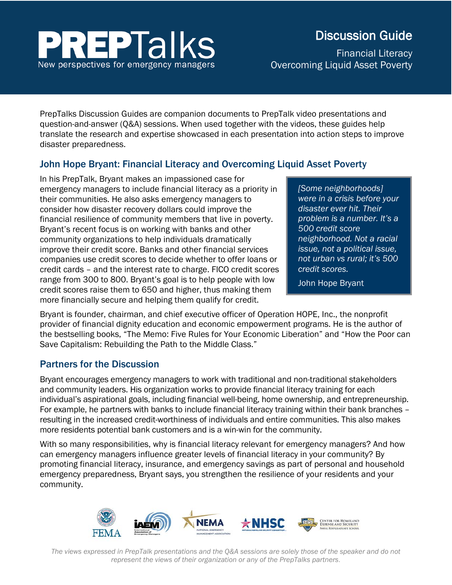# **EPTalks** New perspectives for emergency managers

# Discussion Guide

Financial Literacy Overcoming Liquid Asset Poverty

PrepTalks Discussion Guides are companion documents to PrepTalk video presentations and question-and-answer (Q&A) sessions. When used together with the videos, these guides help translate the research and expertise showcased in each presentation into action steps to improve disaster preparedness.

# John Hope Bryant: Financial Literacy and Overcoming Liquid Asset Poverty

In his PrepTalk, Bryant makes an impassioned case for emergency managers to include financial literacy as a priority in their communities. He also asks emergency managers to consider how disaster recovery dollars could improve the financial resilience of community members that live in poverty. Bryant's recent focus is on working with banks and other community organizations to help individuals dramatically improve their credit score. Banks and other financial services companies use credit scores to decide whether to offer loans or credit cards – and the interest rate to charge. FICO credit scores range from 300 to 800. Bryant's goal is to help people with low credit scores raise them to 650 and higher, thus making them more financially secure and helping them qualify for credit.

*[Some neighborhoods] were in a crisis before your disaster ever hit. Their problem is a number. It's a 500 credit score neighborhood. Not a racial issue, not a political issue, not urban vs rural; it's 500 credit scores.* 

John Hope Bryant

Bryant is founder, chairman, and chief executive officer of Operation HOPE, Inc., the nonprofit provider of financial dignity education and economic empowerment programs. He is the author of the bestselling books, "The Memo: Five Rules for Your Economic Liberation" and "How the Poor can Save Capitalism: Rebuilding the Path to the Middle Class."

## Partners for the Discussion

Bryant encourages emergency managers to work with traditional and non-traditional stakeholders and community leaders. His organization works to provide financial literacy training for each individual's aspirational goals, including financial well-being, home ownership, and entrepreneurship. For example, he partners with banks to include financial literacy training within their bank branches – resulting in the increased credit-worthiness of individuals and entire communities. This also makes more residents potential bank customers and is a win-win for the community.

With so many responsibilities, why is financial literacy relevant for emergency managers? And how can emergency managers influence greater levels of financial literacy in your community? By promoting financial literacy, insurance, and emergency savings as part of personal and household emergency preparedness, Bryant says, you strengthen the resilience of your residents and your community.



*The views expressed in PrepTalk presentations and the Q&A sessions are solely those of the speaker and do not represent the views of their organization or any of the PrepTalks partners*.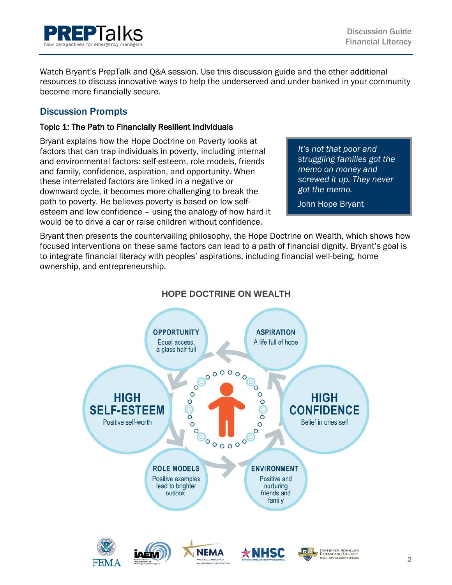

Watch Bryant's PrepTalk and Q&A session. Use this discussion guide and the other additional resources to discuss innovative ways to help the underserved and under-banked in your community become more financially secure.

# Discussion Prompts

#### Topic 1: The Path to Financially Resilient Individuals

Bryant explains how the Hope Doctrine on Poverty looks at factors that can trap individuals in poverty, including internal and environmental factors: self-esteem, role models, friends and family, confidence, aspiration, and opportunity. When these interrelated factors are linked in a negative or downward cycle, it becomes more challenging to break the path to poverty. He believes poverty is based on low selfesteem and low confidence – using the analogy of how hard it would be to drive a car or raise children without confidence.

*It's not that poor and struggling families got the memo on money and screwed it up. They never got the memo.* 

John Hope Bryant

Bryant then presents the countervailing philosophy, the Hope Doctrine on Wealth, which shows how focused interventions on these same factors can lead to a path of financial dignity. Bryant's goal is to integrate financial literacy with peoples' aspirations, including financial well-being, home ownership, and entrepreneurship.



## **HOPE DOCTRINE ON WEALTH**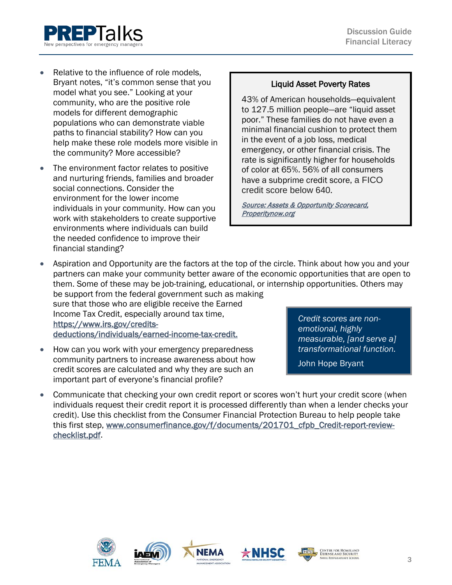

- Relative to the influence of role models. Bryant notes, "it's common sense that you model what you see." Looking at your community, who are the positive role models for different demographic populations who can demonstrate viable paths to financial stability? How can you help make these role models more visible in the community? More accessible?
- The environment factor relates to positive and nurturing friends, families and broader social connections. Consider the environment for the lower income individuals in your community. How can you work with stakeholders to create supportive environments where individuals can build the needed confidence to improve their financial standing?

#### Liquid Asset Poverty Rates

43% of American households—equivalent to 127.5 million people—are "liquid asset poor." These families do not have even a minimal financial cushion to protect them in the event of a job loss, medical emergency, or other financial crisis. The rate is significantly higher for households of color at 65%. 56% of all consumers have a subprime credit score, a FICO credit score below 640.

[Source: Assets & Opportunity Scorecard,](https://www.google.com/search?source=hp&ei=CN-zWtHIJMbqjwOG_p6oDA&q=what+is+subprime+credit+score&oq=what+is+subprime+credit&gs_l=psy-ab.1.0.0j0i22i30k1l6.420.6103.0.9637.25.19.0.0.0.0.496.3367.2-4j2j3.9.0....0...1c.1.64.psy-ab..16.9.3364...0i131k1j33i160k1.0.L9cCh46x5dMhttps://prosperitynow.org/files/PDFs/2012_Scorecard_Report.pdf)  [Properitynow.org](https://www.google.com/search?source=hp&ei=CN-zWtHIJMbqjwOG_p6oDA&q=what+is+subprime+credit+score&oq=what+is+subprime+credit&gs_l=psy-ab.1.0.0j0i22i30k1l6.420.6103.0.9637.25.19.0.0.0.0.496.3367.2-4j2j3.9.0....0...1c.1.64.psy-ab..16.9.3364...0i131k1j33i160k1.0.L9cCh46x5dMhttps://prosperitynow.org/files/PDFs/2012_Scorecard_Report.pdf)

• Aspiration and Opportunity are the factors at the top of the circle. Think about how you and your partners can make your community better aware of the economic opportunities that are open to them. Some of these may be job-training, educational, or internship opportunities. Others may be support from the federal government such as making sure that those who are eligible receive the Earned

Income Tax Credit, especially around tax time, https://www.irs.gov/credits[deductions/individuals/earned-income-tax-credit.](https://www.irs.gov/credits-deductions/individuals/earned-income-tax-credit) 

• How can you work with your emergency preparedness community partners to increase awareness about how credit scores are calculated and why they are such an important part of everyone's financial profile?

*Credit scores are nonemotional, highly measurable, [and serve a] transformational function.* 

John Hope Bryant

• Communicate that checking your own credit report or scores won't hurt your credit score (when individuals request their credit report it is processed differently than when a lender checks your credit). Use this checklist from the Consumer Financial Protection Bureau to help people take this first step, [www.consumerfinance.gov/f/documents/201701\\_cfpb\\_Credit-report-review](http://www.consumerfinance.gov/f/documents/201701_cfpb_Credit-report-review-checklist.pdf)[checklist.pdf.](http://www.consumerfinance.gov/f/documents/201701_cfpb_Credit-report-review-checklist.pdf)









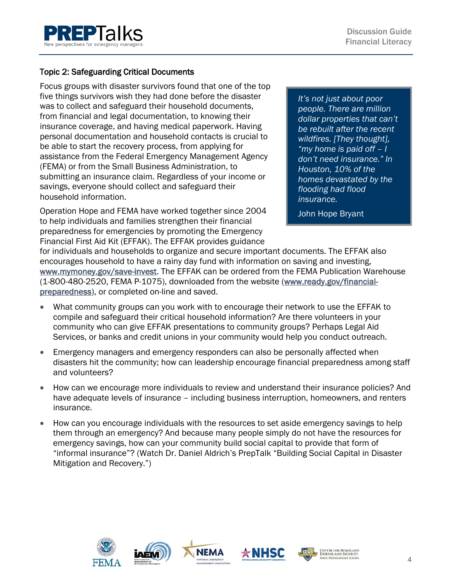

#### Topic 2: Safeguarding Critical Documents

Focus groups with disaster survivors found that one of the top five things survivors wish they had done before the disaster was to collect and safeguard their household documents, from financial and legal documentation, to knowing their insurance coverage, and having medical paperwork. Having personal documentation and household contacts is crucial to be able to start the recovery process, from applying for assistance from the Federal Emergency Management Agency (FEMA) or from the Small Business Administration, to submitting an insurance claim. Regardless of your income or savings, everyone should collect and safeguard their household information.

Operation Hope and FEMA have worked together since 2004 to help individuals and families strengthen their financial preparedness for emergencies by promoting the Emergency Financial First Aid Kit (EFFAK). The EFFAK provides guidance

*It's not just about poor people. There are million dollar properties that can't be rebuilt after the recent wildfires. [They thought], "my home is paid off – I don't need insurance." In Houston, 10% of the homes devastated by the flooding had flood insurance.*

John Hope Bryant

for individuals and households to organize and secure important documents. The EFFAK also encourages household to have a rainy day fund with information on saving and investing, [www.mymoney.gov/save-invest.](http://www.mymoney.gov/save-invest) The EFFAK can be ordered from the FEMA Publication Warehouse (1-800-480-2520, FEMA P-1075), downloaded from the website [\(www.ready.gov/financial](http://www.ready.gov/financial-preparedness)[preparedness\)](http://www.ready.gov/financial-preparedness), or completed on-line and saved.

- What community groups can you work with to encourage their network to use the EFFAK to compile and safeguard their critical household information? Are there volunteers in your community who can give EFFAK presentations to community groups? Perhaps Legal Aid Services, or banks and credit unions in your community would help you conduct outreach.
- Emergency managers and emergency responders can also be personally affected when disasters hit the community; how can leadership encourage financial preparedness among staff and volunteers?
- How can we encourage more individuals to review and understand their insurance policies? And have adequate levels of insurance – including business interruption, homeowners, and renters insurance.
- How can you encourage individuals with the resources to set aside emergency savings to help them through an emergency? And because many people simply do not have the resources for emergency savings, how can your community build social capital to provide that form of "informal insurance"? (Watch Dr. Daniel Aldrich's PrepTalk "Building Social Capital in Disaster Mitigation and Recovery.")





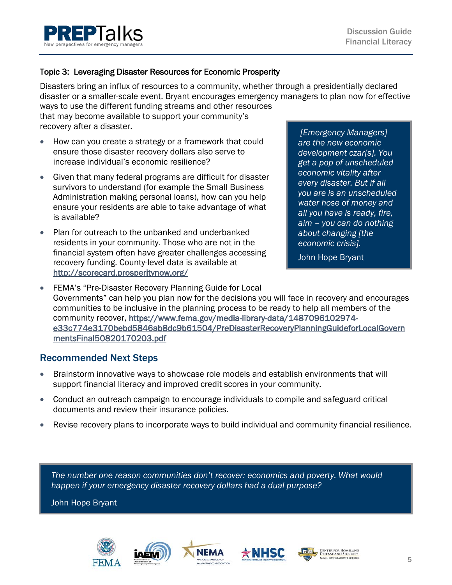

#### Topic 3: Leveraging Disaster Resources for Economic Prosperity

Disasters bring an influx of resources to a community, whether through a presidentially declared disaster or a smaller-scale event. Bryant encourages emergency managers to plan now for effective ways to use the different funding streams and other resources

that may become available to support your community's recovery after a disaster.

- How can you create a strategy or a framework that could ensure those disaster recovery dollars also serve to increase individual's economic resilience?
- Given that many federal programs are difficult for disaster survivors to understand (for example the Small Business Administration making personal loans), how can you help ensure your residents are able to take advantage of what is available?
- Plan for outreach to the unbanked and underbanked residents in your community. Those who are not in the financial system often have greater challenges accessing recovery funding. County-level data is available at <http://scorecard.prosperitynow.org/>

*[Emergency Managers] are the new economic development czar[s]. You get a pop of unscheduled economic vitality after every disaster. But if all you are is an unscheduled water hose of money and all you have is ready, fire, aim – you can do nothing about changing [the economic crisis].*

John Hope Bryant

• FEMA's "Pre-Disaster Recovery Planning Guide for Local Governments" can help you plan now for the decisions you will face in recovery and encourages communities to be inclusive in the planning process to be ready to help all members of the community recover, [https://www.fema.gov/media-library-data/1487096102974](https://www.fema.gov/media-library-data/1487096102974-e33c774e3170bebd5846ab8dc9b61504/PreDisasterRecoveryPlanningGuideforLocalGovernmentsFinal50820170203.pdf) [e33c774e3170bebd5846ab8dc9b61504/PreDisasterRecoveryPlanningGuideforLocalGovern](https://www.fema.gov/media-library-data/1487096102974-e33c774e3170bebd5846ab8dc9b61504/PreDisasterRecoveryPlanningGuideforLocalGovernmentsFinal50820170203.pdf) [mentsFinal50820170203.pdf](https://www.fema.gov/media-library-data/1487096102974-e33c774e3170bebd5846ab8dc9b61504/PreDisasterRecoveryPlanningGuideforLocalGovernmentsFinal50820170203.pdf) 

#### Recommended Next Steps

- Brainstorm innovative ways to showcase role models and establish environments that will support financial literacy and improved credit scores in your community.
- Conduct an outreach campaign to encourage individuals to compile and safeguard critical documents and review their insurance policies.
- Revise recovery plans to incorporate ways to build individual and community financial resilience.

*The number one reason communities don't recover: economics and poverty. What would happen if your emergency disaster recovery dollars had a dual purpose?* 

John Hope Bryant